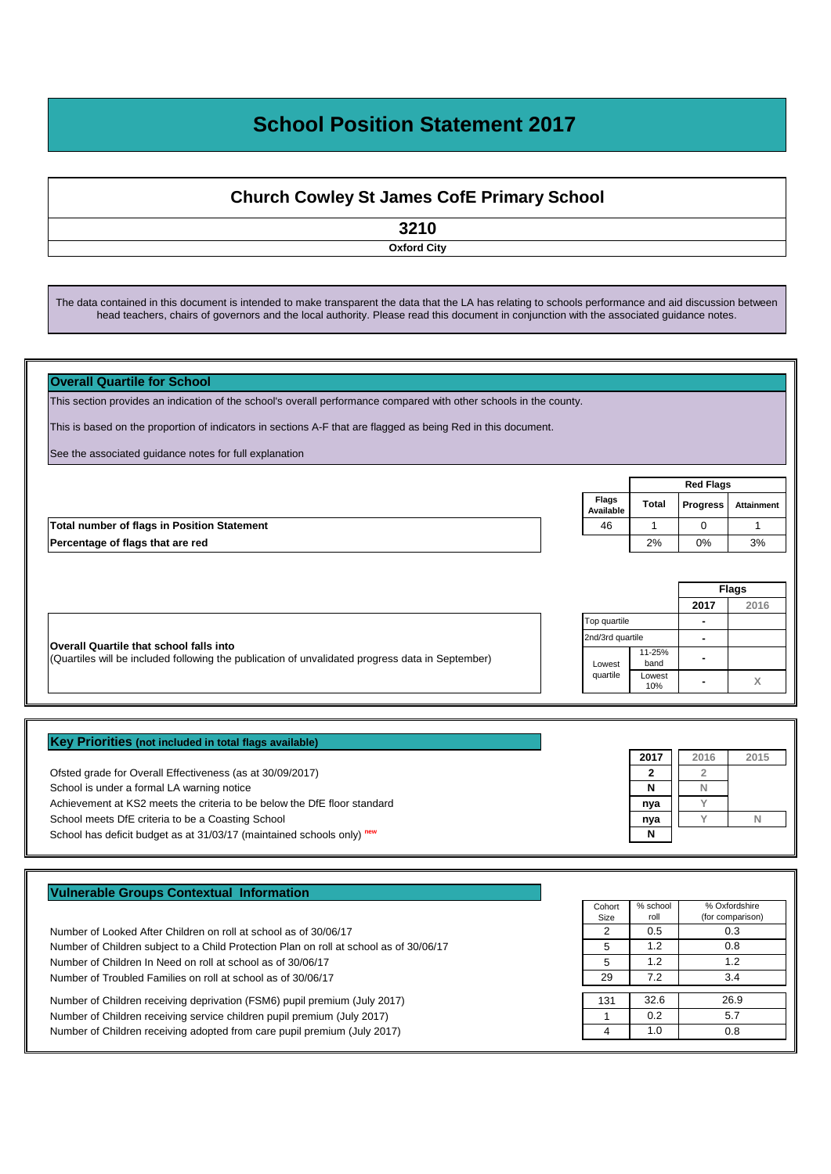## **School Position Statement 2017**

## **Church Cowley St James CofE Primary School**

**3210**

**Oxford City**

The data contained in this document is intended to make transparent the data that the LA has relating to schools performance and aid discussion between head teachers, chairs of governors and the local authority. Please read this document in conjunction with the associated guidance notes.

| <b>Overall Quartile for School</b>                                                                                 |                    |                |                  |              |
|--------------------------------------------------------------------------------------------------------------------|--------------------|----------------|------------------|--------------|
| This section provides an indication of the school's overall performance compared with other schools in the county. |                    |                |                  |              |
| This is based on the proportion of indicators in sections A-F that are flagged as being Red in this document.      |                    |                |                  |              |
| See the associated guidance notes for full explanation                                                             |                    |                |                  |              |
|                                                                                                                    |                    |                | <b>Red Flags</b> |              |
|                                                                                                                    | Flags<br>Available | <b>Total</b>   | <b>Progress</b>  | Attainment   |
| <b>Total number of flags in Position Statement</b>                                                                 | 46                 | 1              | $\Omega$         |              |
| Percentage of flags that are red                                                                                   |                    | 2%             | 0%               | 3%           |
|                                                                                                                    |                    |                |                  |              |
|                                                                                                                    |                    |                |                  | <b>Flags</b> |
|                                                                                                                    |                    |                | 2017             | 2016         |
|                                                                                                                    | Top quartile       |                | ۰                |              |
| <b>Overall Quartile that school falls into</b>                                                                     | 2nd/3rd quartile   |                | $\blacksquare$   |              |
| (Quartiles will be included following the publication of unvalidated progress data in September)                   | Lowest             | 11-25%<br>band |                  |              |
|                                                                                                                    | quartile           | Lowest<br>10%  |                  | X            |

| Key Priorities (not included in total flags available)                   |      |      |      |
|--------------------------------------------------------------------------|------|------|------|
|                                                                          | 2017 | 2016 | 2015 |
| Ofsted grade for Overall Effectiveness (as at 30/09/2017)                |      |      |      |
| School is under a formal LA warning notice                               | N    |      |      |
| Achievement at KS2 meets the criteria to be below the DfE floor standard | nya  |      |      |
| School meets DfE criteria to be a Coasting School                        | nya  |      |      |
| School has deficit budget as at 31/03/17 (maintained schools only) new   | N    |      |      |

| <b>Vulnerable Groups Contextual Information</b> |  |  |
|-------------------------------------------------|--|--|
|                                                 |  |  |

Number of Looked After Children on roll at school as of 30/06/17 2 Number of Children subject to a Child Protection Plan on roll at school as of 30/06/17 Number of Children In Need on roll at school as of 30/06/17 Number of Troubled Families on roll at school as of 30/06/17

Number of Children receiving deprivation (FSM6) pupil premium (July 2017) Number of Children receiving service children pupil premium (July 2017) 1 Number of Children receiving adopted from care pupil premium (July 2017) 4

| Cohort<br>Size | % school<br>roll | % Oxfordshire<br>(for comparison) |
|----------------|------------------|-----------------------------------|
| 2              | 0.5              | 0.3                               |
| 5              | 1.2              | 0.8                               |
| 5              | 1.2              | 1.2                               |
| 29             | 7.2              | 3.4                               |
|                |                  |                                   |
| 131            | 32.6             | 26.9                              |
|                | 0.2              | 5.7                               |
|                | 1.0              | 0.8                               |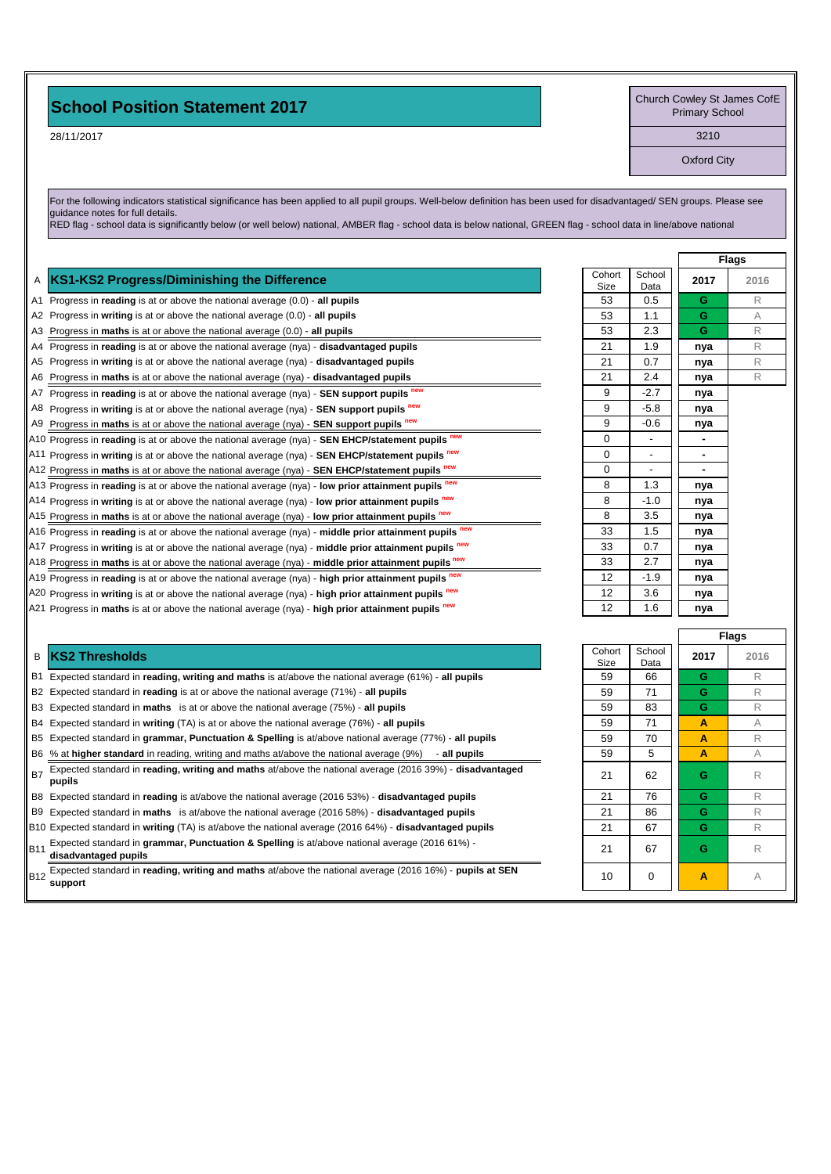## **School Position Statement 2017**

28/11/2017

Church Cowley St James CofE Primary School

3210

Oxford City

For the following indicators statistical significance has been applied to all pupil groups. Well-below definition has been used for disadvantaged/ SEN groups. Please see guidance notes for full details.

RED flag - school data is significantly below (or well below) national, AMBER flag - school data is below national, GREEN flag - school data in line/above national

|   | A KS1-KS2 Progress/Diminishing the Difference                                                                                | Cohort<br>Size | School<br>Data | 2017           | 20 <sup>1</sup> |
|---|------------------------------------------------------------------------------------------------------------------------------|----------------|----------------|----------------|-----------------|
|   | A1 Progress in reading is at or above the national average (0.0) - all pupils                                                | 53             | 0.5            | G              | R               |
|   | A2 Progress in writing is at or above the national average $(0.0)$ - all pupils                                              | 53             | 1.1            | G              | A               |
|   | A3 Progress in maths is at or above the national average $(0.0)$ - all pupils                                                | 53             | 2.3            | G              | R               |
|   | A4 Progress in reading is at or above the national average $(nya)$ - disadvantaged pupils                                    | 21             | 1.9            | nya            | R               |
|   | A5 Progress in writing is at or above the national average (nya) - disadvantaged pupils                                      | 21             | 0.7            | nya            | R               |
|   | A6 Progress in maths is at or above the national average (nya) - disadvantaged pupils                                        | 21             | 2.4            | nya            | R               |
|   | A7 Progress in reading is at or above the national average (nya) - SEN support pupils new                                    | 9              | $-2.7$         | nya            |                 |
|   | A8 Progress in writing is at or above the national average (nya) - SEN support pupils new                                    | 9              | $-5.8$         | nya            |                 |
|   | A9 Progress in maths is at or above the national average (nya) - <b>SEN support pupils</b> new                               | 9              | $-0.6$         | nya            |                 |
|   | A10 Progress in reading is at or above the national average (nya) - SEN EHCP/statement pupils new                            | 0              |                | ۰              |                 |
|   | A11 Progress in writing is at or above the national average (nya) - SEN EHCP/statement pupils new                            | 0              |                | $\blacksquare$ |                 |
|   | A12 Progress in maths is at or above the national average (nya) - SEN EHCP/statement pupils new                              | 0              |                |                |                 |
|   | A13 Progress in reading is at or above the national average (nya) - low prior attainment pupils new                          | 8              | 1.3            | nya            |                 |
|   | $\vert$ A14 Progress in writing is at or above the national average (nya) - low prior attainment pupils $^{\text{new}}$      | 8              | $-1.0$         | nya            |                 |
|   | $\vert$ A15 Progress in maths is at or above the national average (nya) - low prior attainment pupils $\frac{new}{100}$      | 8              | 3.5            | nya            |                 |
|   | $\parallel$ A16 Progress in reading is at or above the national average (nya) - middle prior attainment pupils new           | 33             | 1.5            | nya            |                 |
|   | $\vert$ A17 Progress in writing is at or above the national average (nya) - middle prior attainment pupils $\frac{new}{100}$ | 33             | 0.7            | nya            |                 |
|   | A18 Progress in maths is at or above the national average (nya) - middle prior attainment pupils $n_{\text{ew}}$             | 33             | 2.7            | nya            |                 |
|   | A19 Progress in reading is at or above the national average (nya) - high prior attainment pupils new                         | 12             | $-1.9$         | nya            |                 |
|   | A20 Progress in writing is at or above the national average (nya) - high prior attainment pupils new                         | 12             | 3.6            | nya            |                 |
|   | A21 Progress in maths is at or above the national average ( $nya$ ) - high prior attainment pupils $new$                     | 12             | 1.6            | nya            |                 |
|   |                                                                                                                              |                |                |                | <b>Flags</b>    |
|   |                                                                                                                              | Cohort         | School         |                |                 |
| в | <b>KS2 Thresholds</b>                                                                                                        | Size           | Data           | 2017           | 20 <sup>1</sup> |
|   |                                                                                                                              |                |                |                |                 |

B1 Expected standard in reading, writing and maths is at/above the national average (61%) - all pupils

- B2 Expected standard in **reading** is at or above the national average (71%) all pupils
- B3 Expected standard in **maths** is at or above the national average (75%) all pupils

B4 Expected standard in writing (TA) is at or above the national average (76%) - all pupils

- B5 Expected standard in grammar, Punctuation & Spelling is at/above national average (77%) all pupils
- B6 % at **higher standard** in reading, writing and maths at/above the national average (9%) all pupils

B7 Expected standard in **reading, writing and maths** at/above the national average (2016 39%) - **disadvantaged** 21 62 **G** R

```
B8 Expected standard in reading is at/above the national average (2016 53%) - disadvantaged pupils
```
B9 Expected standard in maths is at/above the national average (2016 58%) - disadvantaged pupils

B10 Expected standard in writing (TA) is at/above the national average (2016 64%) - disadvantaged pupils B11 Expected standard in **grammar, Punctuation & Spelling** is at/above national average (2016 61%) -<br>**disadvantaged pupils G** R

B12 Expected standard in reading, writing and maths at/above the national average (2016 16%) - **pupils at SEN** 10 | 0 | **A** A

| <b>Flags</b><br>Cohort<br>School<br>2017<br>2016<br>Size<br>Data<br>53<br>0.5<br>G<br>R<br>Ġ<br>53<br>1.1<br>A<br>Ġ<br>53<br>2.3<br>R<br>21<br>1.9<br>R<br>nya<br>21<br>0.7<br>R<br>nya<br>21<br>2.4<br>R<br>nya<br>$-2.7$<br>9<br>nya<br>$-5.8$<br>9<br>nya<br>$-0.6$<br>9<br>nya<br>0<br>0<br>0<br>1.3<br>8<br>nya<br>$-1.0$<br>8<br>nya<br>3.5<br>8<br>nya<br>33<br>1.5<br>nya<br>33<br>0.7<br>nya<br>33<br>2.7<br>nya<br>12<br>$-1.9$<br>nya<br>12<br>3.6<br>nya<br>12<br>1.6<br>nya |  |  |
|------------------------------------------------------------------------------------------------------------------------------------------------------------------------------------------------------------------------------------------------------------------------------------------------------------------------------------------------------------------------------------------------------------------------------------------------------------------------------------------|--|--|
|                                                                                                                                                                                                                                                                                                                                                                                                                                                                                          |  |  |
|                                                                                                                                                                                                                                                                                                                                                                                                                                                                                          |  |  |
|                                                                                                                                                                                                                                                                                                                                                                                                                                                                                          |  |  |
|                                                                                                                                                                                                                                                                                                                                                                                                                                                                                          |  |  |
|                                                                                                                                                                                                                                                                                                                                                                                                                                                                                          |  |  |
|                                                                                                                                                                                                                                                                                                                                                                                                                                                                                          |  |  |
|                                                                                                                                                                                                                                                                                                                                                                                                                                                                                          |  |  |
|                                                                                                                                                                                                                                                                                                                                                                                                                                                                                          |  |  |
|                                                                                                                                                                                                                                                                                                                                                                                                                                                                                          |  |  |
|                                                                                                                                                                                                                                                                                                                                                                                                                                                                                          |  |  |
|                                                                                                                                                                                                                                                                                                                                                                                                                                                                                          |  |  |
|                                                                                                                                                                                                                                                                                                                                                                                                                                                                                          |  |  |
|                                                                                                                                                                                                                                                                                                                                                                                                                                                                                          |  |  |
|                                                                                                                                                                                                                                                                                                                                                                                                                                                                                          |  |  |
|                                                                                                                                                                                                                                                                                                                                                                                                                                                                                          |  |  |
|                                                                                                                                                                                                                                                                                                                                                                                                                                                                                          |  |  |
|                                                                                                                                                                                                                                                                                                                                                                                                                                                                                          |  |  |
|                                                                                                                                                                                                                                                                                                                                                                                                                                                                                          |  |  |
|                                                                                                                                                                                                                                                                                                                                                                                                                                                                                          |  |  |
|                                                                                                                                                                                                                                                                                                                                                                                                                                                                                          |  |  |
|                                                                                                                                                                                                                                                                                                                                                                                                                                                                                          |  |  |
|                                                                                                                                                                                                                                                                                                                                                                                                                                                                                          |  |  |
|                                                                                                                                                                                                                                                                                                                                                                                                                                                                                          |  |  |
|                                                                                                                                                                                                                                                                                                                                                                                                                                                                                          |  |  |

|                |                | <b>Flags</b> |      |  |
|----------------|----------------|--------------|------|--|
| Cohort<br>Size | School<br>Data | 2017         | 2016 |  |
| 59             | 66             | G            | R    |  |
| 59             | 71             | G            | R    |  |
| 59             | 83             | G            | R    |  |
| 59             | 71             | A            | A    |  |
| 59             | 70             | A            | R    |  |
| 59             | 5              | A            | A    |  |
| 21             | 62             | G            | R    |  |
| 21             | 76             | G            | R    |  |
| 21             | 86             | G            | R    |  |
| 21             | 67             | Ġ            | R    |  |
| 21             | 67             | G            | R    |  |
| 10             | 0              | A            | A    |  |